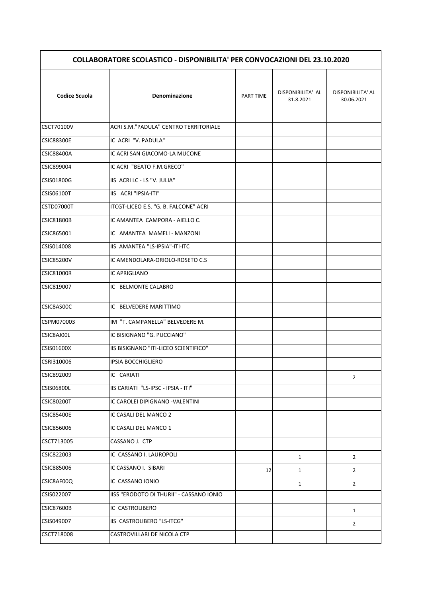| <b>COLLABORATORE SCOLASTICO - DISPONIBILITA' PER CONVOCAZIONI DEL 23.10.2020</b> |                                          |                  |                                |                                 |
|----------------------------------------------------------------------------------|------------------------------------------|------------------|--------------------------------|---------------------------------|
| <b>Codice Scuola</b>                                                             | Denominazione                            | <b>PART TIME</b> | DISPONIBILITA' AL<br>31.8.2021 | DISPONIBILITA' AL<br>30.06.2021 |
| CSCT70100V                                                                       | ACRI S.M."PADULA" CENTRO TERRITORIALE    |                  |                                |                                 |
| <b>CSIC88300E</b>                                                                | IC ACRI "V. PADULA"                      |                  |                                |                                 |
| <b>CSIC88400A</b>                                                                | IC ACRI SAN GIACOMO-LA MUCONE            |                  |                                |                                 |
| CSIC899004                                                                       | IC ACRI "BEATO F.M.GRECO"                |                  |                                |                                 |
| CSIS01800G                                                                       | IIS ACRI LC - LS "V. JULIA"              |                  |                                |                                 |
| <b>CSIS06100T</b>                                                                | IIS ACRI "IPSIA-ITI"                     |                  |                                |                                 |
| CSTD07000T                                                                       | ITCGT-LICEO E.S. "G. B. FALCONE" ACRI    |                  |                                |                                 |
| <b>CSIC81800B</b>                                                                | IC AMANTEA CAMPORA - AIELLO C.           |                  |                                |                                 |
| CSIC865001                                                                       | IC AMANTEA MAMELI - MANZONI              |                  |                                |                                 |
| CSIS014008                                                                       | IIS AMANTEA "LS-IPSIA"-ITI-ITC           |                  |                                |                                 |
| <b>CSIC85200V</b>                                                                | IC AMENDOLARA-ORIOLO-ROSETO C.S          |                  |                                |                                 |
| <b>CSIC81000R</b>                                                                | IC APRIGLIANO                            |                  |                                |                                 |
| CSIC819007                                                                       | IC BELMONTE CALABRO                      |                  |                                |                                 |
| CSIC8AS00C                                                                       | IC BELVEDERE MARITTIMO                   |                  |                                |                                 |
| CSPM070003                                                                       | IM "T. CAMPANELLA" BELVEDERE M.          |                  |                                |                                 |
| CSIC8AJ00L                                                                       | IC BISIGNANO "G. PUCCIANO"               |                  |                                |                                 |
| CSIS01600X                                                                       | IIS BISIGNANO "ITI-LICEO SCIENTIFICO"    |                  |                                |                                 |
| CSRI310006                                                                       | <b>IPSIA BOCCHIGLIERO</b>                |                  |                                |                                 |
| CSIC892009                                                                       | IC CARIATI                               |                  |                                | $\overline{2}$                  |
| CSIS06800L                                                                       | IIS CARIATI "LS-IPSC - IPSIA - ITI"      |                  |                                |                                 |
| <b>CSIC80200T</b>                                                                | IC CAROLEI DIPIGNANO - VALENTINI         |                  |                                |                                 |
| CSIC85400E                                                                       | IC CASALI DEL MANCO 2                    |                  |                                |                                 |
| CSIC856006                                                                       | IC CASALI DEL MANCO 1                    |                  |                                |                                 |
| CSCT713005                                                                       | CASSANO J. CTP                           |                  |                                |                                 |
| CSIC822003                                                                       | IC CASSANO I. LAUROPOLI                  |                  | $\mathbf{1}$                   | $\overline{2}$                  |
| CSIC885006                                                                       | IC CASSANO I. SIBARI                     | 12               | $\mathbf{1}$                   | $\overline{2}$                  |
| CSIC8AF00Q                                                                       | IC CASSANO IONIO                         |                  | $\mathbf{1}$                   | $\overline{2}$                  |
| CSIS022007                                                                       | IISS "ERODOTO DI THURII" - CASSANO IONIO |                  |                                |                                 |
| <b>CSIC87600B</b>                                                                | IC CASTROLIBERO                          |                  |                                |                                 |
| CSIS049007                                                                       | IIS CASTROLIBERO "LS-ITCG"               |                  |                                | $\mathbf{1}$                    |
| CSCT718008                                                                       | CASTROVILLARI DE NICOLA CTP              |                  |                                | $\overline{2}$                  |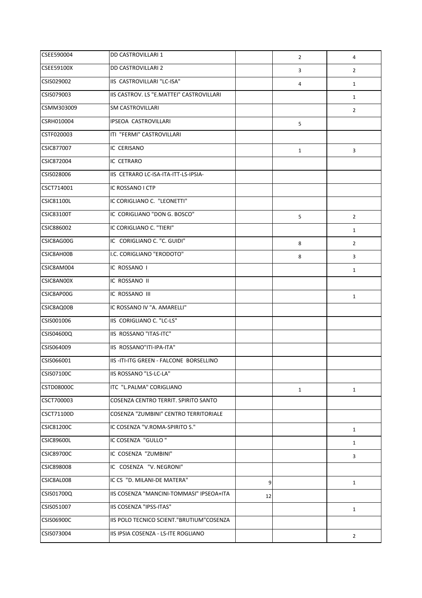| CSEE590004        | <b>DD CASTROVILLARI 1</b>                |    | $\overline{2}$ | 4              |
|-------------------|------------------------------------------|----|----------------|----------------|
| <b>CSEE59100X</b> | DD CASTROVILLARI 2                       |    | 3              | $\overline{2}$ |
| CSIS029002        | IIS CASTROVILLARI "LC-ISA"               |    | 4              | $\mathbf{1}$   |
| CSIS079003        | IIS CASTROV. LS "E.MATTEI" CASTROVILLARI |    |                | $\mathbf{1}$   |
| CSMM303009        | <b>SM CASTROVILLARI</b>                  |    |                | $\overline{2}$ |
| CSRH010004        | IPSEOA CASTROVILLARI                     |    | 5              |                |
| CSTF020003        | ITI "FERMI" CASTROVILLARI                |    |                |                |
| <b>CSIC877007</b> | IC CERISANO                              |    | $\mathbf{1}$   | 3              |
| CSIC872004        | IC CETRARO                               |    |                |                |
| CSIS028006        | IIS CETRARO LC-ISA-ITA-ITT-LS-IPSIA-     |    |                |                |
| CSCT714001        | IC ROSSANO I CTP                         |    |                |                |
| <b>CSIC81100L</b> | IC CORIGLIANO C. "LEONETTI"              |    |                |                |
| <b>CSIC83100T</b> | IC CORIGLIANO "DON G. BOSCO"             |    | 5              | $\overline{2}$ |
| CSIC886002        | IC CORIGLIANO C. "TIERI"                 |    |                | $\mathbf{1}$   |
| CSIC8AG00G        | IC CORIGLIANO C. "C. GUIDI"              |    | 8              | $\overline{2}$ |
| CSIC8AH00B        | I.C. CORIGLIANO "ERODOTO"                |    | 8              | 3              |
| CSIC8AM004        | IC ROSSANO I                             |    |                | $\mathbf{1}$   |
| CSIC8AN00X        | IC ROSSANO II                            |    |                |                |
| CSIC8AP00G        | IC ROSSANO III                           |    |                | $\mathbf{1}$   |
| CSIC8AQ00B        | IC ROSSANO IV "A. AMARELLI"              |    |                |                |
| CSIS001006        | IIS CORIGLIANO C. "LC-LS"                |    |                |                |
| CSIS04600Q        | IIS ROSSANO "ITAS-ITC"                   |    |                |                |
| CSIS064009        | IIS ROSSANO"ITI-IPA-ITA"                 |    |                |                |
| CSIS066001        | IIS-ITI-ITG GREEN - FALCONE BORSELLINO   |    |                |                |
| CSIS07100C        | IIS ROSSANO "LS-LC-LA"                   |    |                |                |
| <b>CSTD08000C</b> | ITC "L.PALMA" CORIGLIANO                 |    | $\mathbf{1}$   | $\mathbf{1}$   |
| CSCT700003        | COSENZA CENTRO TERRIT. SPIRITO SANTO     |    |                |                |
| CSCT71100D        | COSENZA "ZUMBINI" CENTRO TERRITORIALE    |    |                |                |
| <b>CSIC81200C</b> | IC COSENZA "V.ROMA-SPIRITO S."           |    |                | $\mathbf{1}$   |
| <b>CSIC89600L</b> | IC COSENZA "GULLO"                       |    |                | $\mathbf{1}$   |
| <b>CSIC89700C</b> | IC COSENZA "ZUMBINI"                     |    |                | 3              |
| CSIC898008        | IC COSENZA "V. NEGRONI"                  |    |                |                |
| CSIC8AL008        | IC CS "D. MILANI-DE MATERA"              | 9  |                | $\mathbf{1}$   |
| CSIS01700Q        | IIS COSENZA "MANCINI-TOMMASI" IPSEOA+ITA | 12 |                |                |
| CSIS051007        | IIS COSENZA "IPSS-ITAS"                  |    |                | $\mathbf{1}$   |
| CSIS06900C        | IIS POLO TECNICO SCIENT."BRUTIUM"COSENZA |    |                |                |
| CSIS073004        | IIS IPSIA COSENZA - LS-ITE ROGLIANO      |    |                | $\overline{2}$ |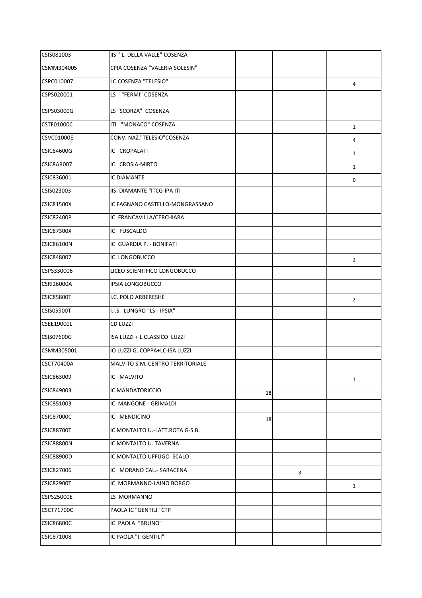| CSIS081003        | IIS "L. DELLA VALLE" COSENZA     |    |   |                |
|-------------------|----------------------------------|----|---|----------------|
| CSMM304005        | CPIA COSENZA "VALERIA SOLESIN"   |    |   |                |
| CSPC010007        | LC COSENZA "TELESIO"             |    |   | 4              |
| CSPS020001        | LS "FERMI" COSENZA               |    |   |                |
| CSPS03000G        | LS "SCORZA" COSENZA              |    |   |                |
| <b>CSTF01000C</b> | ITI "MONACO" COSENZA             |    |   | $\mathbf{1}$   |
| <b>CSVC01000E</b> | CONV. NAZ."TELESIO"COSENZA       |    |   | 4              |
| <b>CSIC84600G</b> | IC CROPALATI                     |    |   | $\mathbf{1}$   |
| CSIC8AR007        | IC CROSIA-MIRTO                  |    |   | $\mathbf{1}$   |
| CSIC836001        | IC DIAMANTE                      |    |   | 0              |
| CSIS023003        | IIS DIAMANTE "ITCG-IPA ITI       |    |   |                |
| <b>CSIC81500X</b> | IC FAGNANO CASTELLO-MONGRASSANO  |    |   |                |
| <b>CSIC82400P</b> | IC FRANCAVILLA/CERCHIARA         |    |   |                |
| <b>CSIC87300X</b> | IC FUSCALDO                      |    |   |                |
| <b>CSIC86100N</b> | IC GUARDIA P. - BONIFATI         |    |   |                |
| <b>CSIC848007</b> | IC LONGOBUCCO                    |    |   | $\overline{2}$ |
| CSPS330006        | LICEO SCIENTIFICO LONGOBUCCO     |    |   |                |
| <b>CSRI26000A</b> | IPSIA LONGOBUCCO                 |    |   |                |
| <b>CSIC85800T</b> | I.C. POLO ARBERESHE              |    |   | $\overline{2}$ |
| <b>CSIS05900T</b> | I.I.S. LUNGRO "LS - IPSIA"       |    |   |                |
| <b>CSEE19000L</b> | <b>CD LUZZI</b>                  |    |   |                |
| CSIS07600G        | ISA LUZZI + L.CLASSICO LUZZI     |    |   |                |
| CSMM305001        | IO LUZZI G. COPPA+LC-ISA LUZZI   |    |   |                |
| <b>CSCT70400A</b> | MALVITO S.M. CENTRO TERRITORIALE |    |   |                |
| CSIC863009        | IC MALVITO                       |    |   | $\mathbf{1}$   |
| CSIC849003        | IC MANDATORICCIO                 | 18 |   |                |
| CSIC851003        | IC MANGONE - GRIMALDI            |    |   |                |
| <b>CSIC87000C</b> | IC MENDICINO                     | 18 |   |                |
| <b>CSIC88700T</b> | IC MONTALTO U.-LATT.ROTA G-S.B.  |    |   |                |
| <b>CSIC88800N</b> | IC MONTALTO U. TAVERNA           |    |   |                |
| <b>CSIC88900D</b> | IC MONTALTO UFFUGO SCALO         |    |   |                |
| CSIC827006        | IC MORANO CAL.- SARACENA         |    | 3 |                |
| <b>CSIC82900T</b> | IC MORMANNO-LAINO BORGO          |    |   | $\mathbf{1}$   |
| <b>CSPS25000E</b> | LS MORMANNO                      |    |   |                |
| CSCT71700C        | PAOLA IC "GENTILI" CTP           |    |   |                |
| <b>CSIC86800C</b> | IC PAOLA "BRUNO"                 |    |   |                |
| CSIC871008        | IC PAOLA "I. GENTILI"            |    |   |                |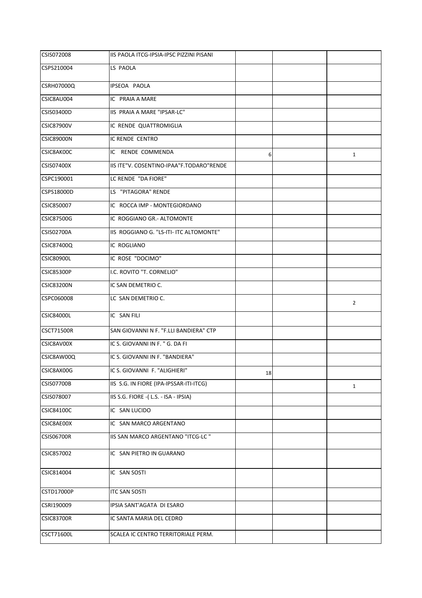| <b>CSIS072008</b> | IIS PAOLA ITCG-IPSIA-IPSC PIZZINI PISANI |    |                |
|-------------------|------------------------------------------|----|----------------|
| CSPS210004        | LS PAOLA                                 |    |                |
| <b>CSRH07000Q</b> | IPSEOA PAOLA                             |    |                |
| CSIC8AU004        | IC PRAIA A MARE                          |    |                |
| CSIS03400D        | IIS PRAIA A MARE "IPSAR-LC"              |    |                |
| <b>CSIC87900V</b> | IC RENDE QUATTROMIGLIA                   |    |                |
| <b>CSIC89000N</b> | IC RENDE CENTRO                          |    |                |
| CSIC8AK00C        | IC RENDE COMMENDA                        | 6  | $\mathbf{1}$   |
| <b>CSIS07400X</b> | IIS ITE"V. COSENTINO-IPAA"F.TODARO"RENDE |    |                |
| CSPC190001        | LC RENDE "DA FIORE"                      |    |                |
| CSPS18000D        | LS "PITAGORA" RENDE                      |    |                |
| CSIC850007        | IC ROCCA IMP - MONTEGIORDANO             |    |                |
| <b>CSIC87500G</b> | IC ROGGIANO GR.- ALTOMONTE               |    |                |
| <b>CSIS02700A</b> | IIS ROGGIANO G. "LS-ITI- ITC ALTOMONTE"  |    |                |
| CSIC87400Q        | IC ROGLIANO                              |    |                |
| <b>CSIC80900L</b> | IC ROSE "DOCIMO"                         |    |                |
| <b>CSIC85300P</b> | I.C. ROVITO "T. CORNELIO"                |    |                |
| <b>CSIC83200N</b> | IC SAN DEMETRIO C.                       |    |                |
| CSPC060008        | LC SAN DEMETRIO C.                       |    | $\overline{2}$ |
| <b>CSIC84000L</b> | IC SAN FILI                              |    |                |
| <b>CSCT71500R</b> | SAN GIOVANNI N F. "F.LLI BANDIERA" CTP   |    |                |
| CSIC8AV00X        | IC S. GIOVANNI IN F. " G. DA FI          |    |                |
| CSIC8AW00Q        | IC S. GIOVANNI IN F. "BANDIERA"          |    |                |
| CSIC8AX00G        | IC S. GIOVANNI F. "ALIGHIERI"            | 18 |                |
| <b>CSIS07700B</b> | IIS S.G. IN FIORE (IPA-IPSSAR-ITI-ITCG)  |    | $\mathbf{1}$   |
| CSIS078007        | IIS S.G. FIORE -(L.S. - ISA - IPSIA)     |    |                |
| <b>CSIC84100C</b> | IC SAN LUCIDO                            |    |                |
| CSIC8AE00X        | IC SAN MARCO ARGENTANO                   |    |                |
| <b>CSIS06700R</b> | IIS SAN MARCO ARGENTANO "ITCG-LC "       |    |                |
| CSIC857002        | IC SAN PIETRO IN GUARANO                 |    |                |
| CSIC814004        | IC SAN SOSTI                             |    |                |
| <b>CSTD17000P</b> | <b>ITC SAN SOSTI</b>                     |    |                |
| CSRI190009        | IPSIA SANT'AGATA DI ESARO                |    |                |
| <b>CSIC83700R</b> | IC SANTA MARIA DEL CEDRO                 |    |                |
| CSCT71600L        | SCALEA IC CENTRO TERRITORIALE PERM.      |    |                |